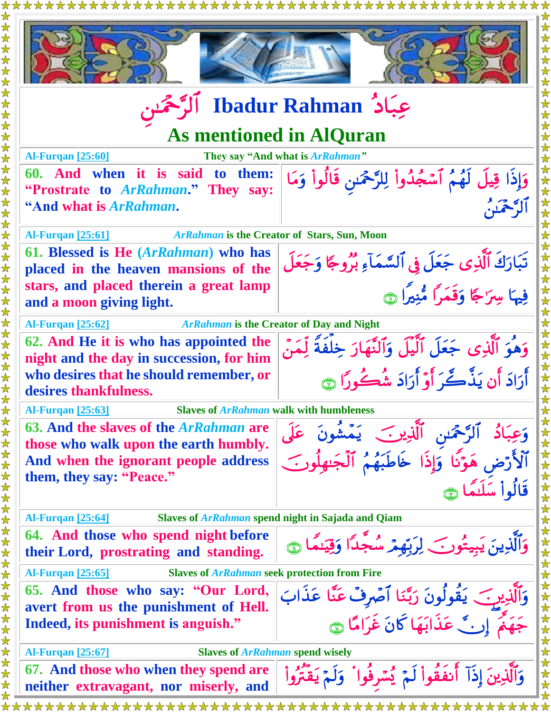